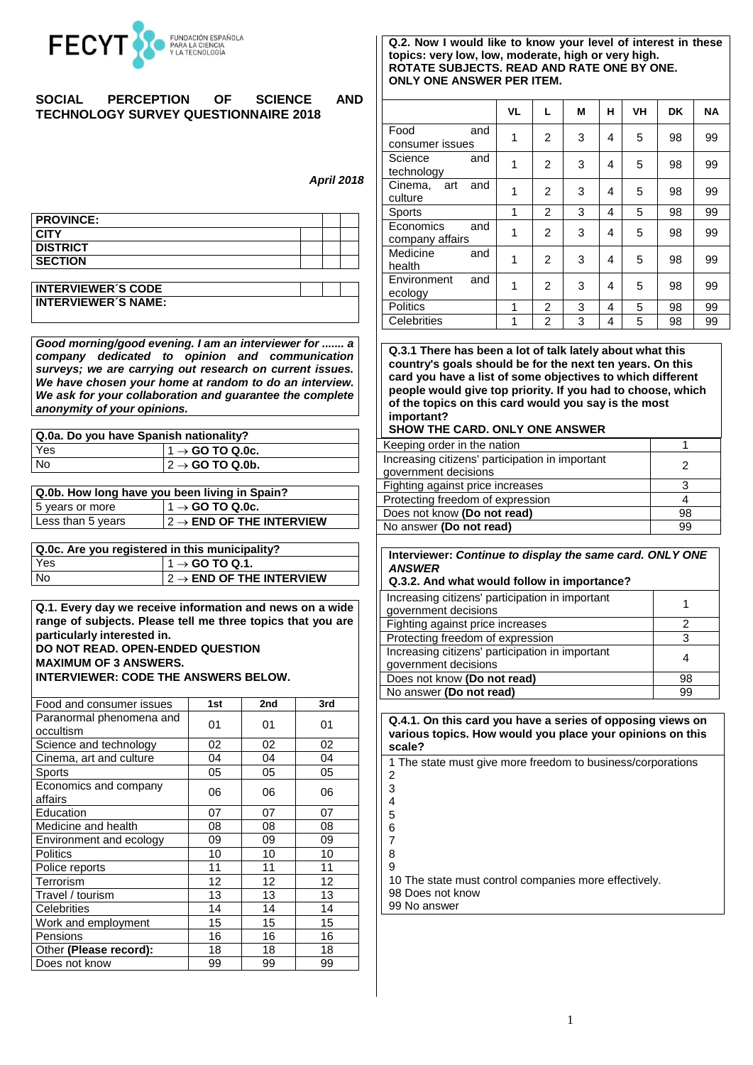

### **SOCIAL PERCEPTION OF SCIENCE AND TECHNOLOGY SURVEY QUESTIONNAIRE 2018**

# *April 2018*

| <b>PROVINCE:</b> |  |  |
|------------------|--|--|
| <b>CITY</b>      |  |  |
| <b>DISTRICT</b>  |  |  |
| <b>SECTION</b>   |  |  |
|                  |  |  |

| <b>INTERVIEWER'S CODE</b>  |  |
|----------------------------|--|
| <b>INTERVIEWER'S NAME:</b> |  |

*Good morning/good evening. I am an interviewer for ....... a company dedicated to opinion and communication surveys; we are carrying out research on current issues. We have chosen your home at random to do an interview. We ask for your collaboration and guarantee the complete anonymity of your opinions.*

| Q.0a. Do you have Spanish nationality? |                              |  |  |  |  |
|----------------------------------------|------------------------------|--|--|--|--|
| Yes                                    | $11 \rightarrow$ GO TO Q.0c. |  |  |  |  |
| <b>No</b>                              | $ 2 \rightarrow$ GO TO Q.0b. |  |  |  |  |

| Q.0b. How long have you been living in Spain? |                                       |  |  |  |  |
|-----------------------------------------------|---------------------------------------|--|--|--|--|
| 5 years or more                               | $11 \rightarrow$ GO TO Q.0c.          |  |  |  |  |
| Less than 5 years                             | $12 \rightarrow$ END OF THE INTERVIEW |  |  |  |  |

| Q.0c. Are you registered in this municipality? |                                       |  |  |  |  |
|------------------------------------------------|---------------------------------------|--|--|--|--|
| Yes                                            | $11 \rightarrow$ GO TO Q.1.           |  |  |  |  |
| No.                                            | $ 2 \rightarrow$ END OF THE INTERVIEW |  |  |  |  |

**Q.1. Every day we receive information and news on a wide range of subjects. Please tell me three topics that you are particularly interested in.** 

# **DO NOT READ. OPEN-ENDED QUESTION MAXIMUM OF 3 ANSWERS.**

**INTERVIEWER: CODE THE ANSWERS BELOW.**

| Food and consumer issues              | 1st | 2nd | 3rd |
|---------------------------------------|-----|-----|-----|
| Paranormal phenomena and<br>occultism | 01  | 01  | 01  |
| Science and technology                | 02  | 02  | 02  |
| Cinema, art and culture               | 04  | 04  | 04  |
| Sports                                | 05  | 05  | 05  |
| Economics and company<br>affairs      | 06  | 06  | 06  |
| Education                             | 07  | 07  | 07  |
| Medicine and health                   | 08  | 08  | 08  |
| Environment and ecology               | 09  | 09  | 09  |
| <b>Politics</b>                       | 10  | 10  | 10  |
| Police reports                        | 11  | 11  | 11  |
| Terrorism                             | 12  | 12  | 12  |
| Travel / tourism                      | 13  | 13  | 13  |
| Celebrities                           | 14  | 14  | 14  |
| Work and employment                   | 15  | 15  | 15  |
| Pensions                              | 16  | 16  | 16  |
| Other (Please record):                | 18  | 18  | 18  |
| Does not know                         | 99  | 99  | 99  |

#### **Q.2. Now I would like to know your level of interest in these topics: very low, low, moderate, high or very high. ROTATE SUBJECTS. READ AND RATE ONE BY ONE. ONLY ONE ANSWER PER ITEM.**

|                                     | <b>VL</b> | г              | M | н | VH | <b>DK</b> | <b>NA</b> |
|-------------------------------------|-----------|----------------|---|---|----|-----------|-----------|
| Food<br>and<br>consumer issues      | 1         | 2              | 3 | 4 | 5  | 98        | 99        |
| Science<br>and<br>technology        | 1         | $\overline{2}$ | 3 | 4 | 5  | 98        | 99        |
| Cinema, art<br>and<br>culture       | 1         | $\overline{2}$ | 3 | 4 | 5  | 98        | 99        |
| Sports                              | 1         | $\overline{2}$ | 3 | 4 | 5  | 98        | 99        |
| Economics<br>and<br>company affairs | 1         | $\overline{2}$ | 3 | 4 | 5  | 98        | 99        |
| Medicine<br>and<br>health           | 1         | $\overline{2}$ | 3 | 4 | 5  | 98        | 99        |
| Environment<br>and<br>ecology       | 1         | $\overline{2}$ | 3 | 4 | 5  | 98        | 99        |
| <b>Politics</b>                     | 1         | 2              | 3 | 4 | 5  | 98        | 99        |
| Celebrities                         | 1         | $\overline{2}$ | 3 | 4 | 5  | 98        | 99        |

**Q.3.1 There has been a lot of talk lately about what this country's goals should be for the next ten years. On this card you have a list of some objectives to which different people would give top priority. If you had to choose, which of the topics on this card would you say is the most important?**

#### **SHOW THE CARD. ONLY ONE ANSWER**

| Keeping order in the nation                                             |    |
|-------------------------------------------------------------------------|----|
| Increasing citizens' participation in important<br>government decisions |    |
| Fighting against price increases                                        |    |
| Protecting freedom of expression                                        |    |
| Does not know (Do not read)                                             | 98 |
| No answer (Do not read)                                                 | 99 |

**Interviewer:** *Continue to display the same card. ONLY ONE ANSWER*

#### **Q.3.2. And what would follow in importance?**

| Increasing citizens' participation in important<br>government decisions |    |
|-------------------------------------------------------------------------|----|
| Fighting against price increases                                        |    |
| Protecting freedom of expression                                        |    |
| Increasing citizens' participation in important<br>government decisions |    |
| Does not know (Do not read)                                             | 98 |
| No answer (Do not read)                                                 | 99 |

**Q.4.1. On this card you have a series of opposing views on various topics. How would you place your opinions on this scale?**

1 The state must give more freedom to business/corporations 2

3 4 5

10 The state must control companies more effectively.

98 Does not know

99 No answer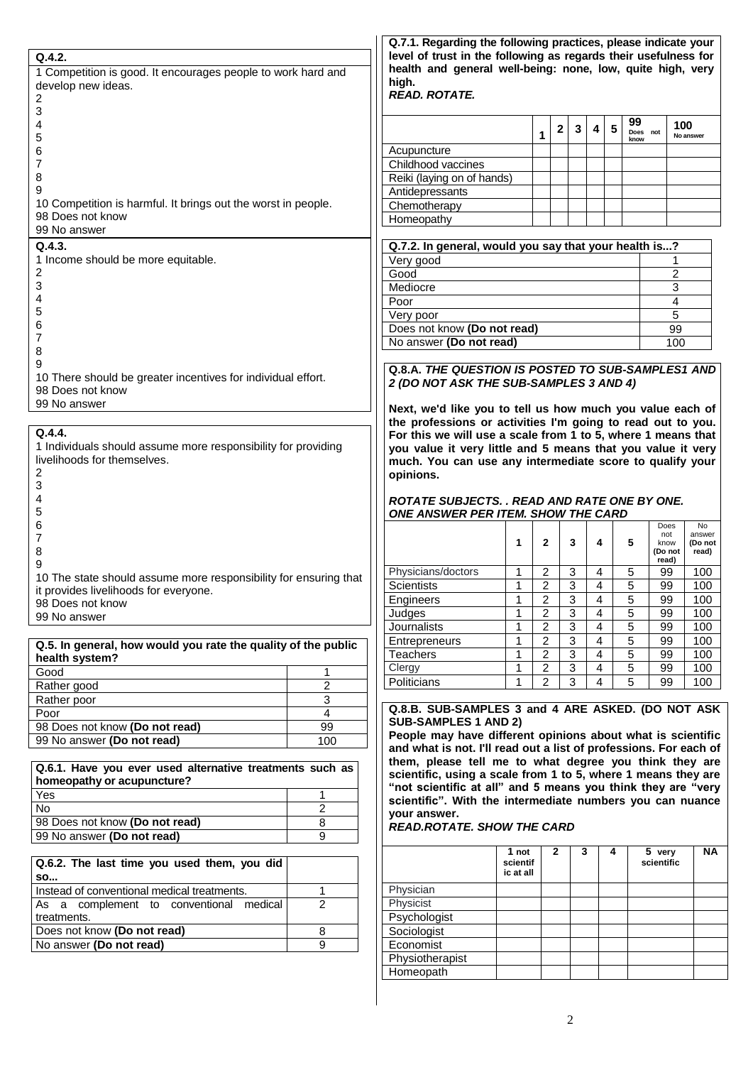|                                                                                                           |                | Q.7.1. Regarding the following practices, please indicate your                                                                |                       |                                  |                |                |   |                    |                   |
|-----------------------------------------------------------------------------------------------------------|----------------|-------------------------------------------------------------------------------------------------------------------------------|-----------------------|----------------------------------|----------------|----------------|---|--------------------|-------------------|
| Q.4.2.                                                                                                    |                | level of trust in the following as regards their usefulness for<br>health and general well-being: none, low, quite high, very |                       |                                  |                |                |   |                    |                   |
| 1 Competition is good. It encourages people to work hard and<br>develop new ideas.                        |                | high.                                                                                                                         |                       |                                  |                |                |   |                    |                   |
| 2                                                                                                         |                | <b>READ. ROTATE.</b>                                                                                                          |                       |                                  |                |                |   |                    |                   |
| 3                                                                                                         |                |                                                                                                                               |                       |                                  |                |                |   |                    |                   |
| 4                                                                                                         |                |                                                                                                                               |                       | 1                                | 2<br>3         | 4              | 5 | 99<br>Does not     | 100<br>No answer  |
| 5                                                                                                         |                | Acupuncture                                                                                                                   |                       |                                  |                |                |   | know               |                   |
| 6<br>7                                                                                                    |                | Childhood vaccines                                                                                                            |                       |                                  |                |                |   |                    |                   |
| 8                                                                                                         |                | Reiki (laying on of hands)                                                                                                    |                       |                                  |                |                |   |                    |                   |
| 9                                                                                                         |                | Antidepressants                                                                                                               |                       |                                  |                |                |   |                    |                   |
| 10 Competition is harmful. It brings out the worst in people.                                             |                | Chemotherapy                                                                                                                  |                       |                                  |                |                |   |                    |                   |
| 98 Does not know                                                                                          |                | Homeopathy                                                                                                                    |                       |                                  |                |                |   |                    |                   |
| 99 No answer                                                                                              |                |                                                                                                                               |                       |                                  |                |                |   |                    |                   |
| Q.4.3.                                                                                                    |                | Q.7.2. In general, would you say that your health is?                                                                         |                       |                                  |                |                |   |                    |                   |
| 1 Income should be more equitable.<br>2                                                                   |                | Very good<br>Good                                                                                                             |                       |                                  |                |                |   | $\overline{2}$     |                   |
| 3                                                                                                         |                | Mediocre                                                                                                                      |                       |                                  |                |                |   | 3                  |                   |
| 4                                                                                                         |                | Poor                                                                                                                          |                       |                                  |                |                |   | 4                  |                   |
| 5                                                                                                         |                | Very poor                                                                                                                     |                       |                                  |                |                |   | 5                  |                   |
| 6                                                                                                         |                | Does not know (Do not read)                                                                                                   |                       |                                  |                |                |   | 99                 |                   |
| 7                                                                                                         |                | No answer (Do not read)                                                                                                       |                       |                                  |                |                |   | 100                |                   |
| 8<br>9                                                                                                    |                |                                                                                                                               |                       |                                  |                |                |   |                    |                   |
| 10 There should be greater incentives for individual effort.                                              |                | Q.8.A. THE QUESTION IS POSTED TO SUB-SAMPLES1 AND                                                                             |                       |                                  |                |                |   |                    |                   |
| 98 Does not know                                                                                          |                | 2 (DO NOT ASK THE SUB-SAMPLES 3 AND 4)                                                                                        |                       |                                  |                |                |   |                    |                   |
| 99 No answer                                                                                              |                | Next, we'd like you to tell us how much you value each of                                                                     |                       |                                  |                |                |   |                    |                   |
|                                                                                                           |                | the professions or activities I'm going to read out to you.                                                                   |                       |                                  |                |                |   |                    |                   |
| Q.4.4.                                                                                                    |                | For this we will use a scale from 1 to 5, where 1 means that                                                                  |                       |                                  |                |                |   |                    |                   |
| 1 Individuals should assume more responsibility for providing                                             |                | you value it very little and 5 means that you value it very                                                                   |                       |                                  |                |                |   |                    |                   |
| livelihoods for themselves.                                                                               |                | much. You can use any intermediate score to qualify your                                                                      |                       |                                  |                |                |   |                    |                   |
| 2<br>3                                                                                                    |                | opinions.                                                                                                                     |                       |                                  |                |                |   |                    |                   |
| 4                                                                                                         |                | <b>ROTATE SUBJECTS. . READ AND RATE ONE BY ONE.</b>                                                                           |                       |                                  |                |                |   |                    |                   |
| 5                                                                                                         |                | ONE ANSWER PER ITEM. SHOW THE CARD                                                                                            |                       |                                  |                |                |   |                    |                   |
| 6                                                                                                         |                |                                                                                                                               |                       |                                  |                |                |   | Does               | No                |
| 7                                                                                                         |                |                                                                                                                               | 1                     | $\mathbf{2}$                     | 3              | 4              |   | not<br>5<br>know   | answer<br>(Do not |
| 8                                                                                                         |                |                                                                                                                               |                       |                                  |                |                |   | (Do not<br>read)   | read)             |
| 9                                                                                                         |                | Physicians/doctors                                                                                                            | 1                     | 2                                | $\mathbf{3}$   | 4              |   | 5<br>99            | 100               |
| 10 The state should assume more responsibility for ensuring that<br>it provides livelihoods for everyone. |                | Scientists                                                                                                                    | 1                     | $\overline{c}$                   | 3              | $\overline{4}$ |   | 5<br>99            | 100               |
| 98 Does not know                                                                                          |                | Engineers                                                                                                                     | 1                     | $\overline{2}$                   | 3              | 4              |   | 5<br>99            | 100               |
| 99 No answer                                                                                              |                | Judges                                                                                                                        | 1                     | 2                                | 3              | 4              |   | 5<br>99            | 100               |
|                                                                                                           |                | Journalists                                                                                                                   | 1                     | 2                                | 3              | 4              |   | 5<br>99            | 100               |
| Q.5. In general, how would you rate the quality of the public                                             |                | Entrepreneurs                                                                                                                 | 1                     | $\overline{c}$                   | 3              | 4              |   | 5<br>99            | 100               |
| health system?                                                                                            |                | <b>Teachers</b>                                                                                                               | 1                     | $\overline{2}$                   | $\overline{3}$ | 4              |   | 5<br>99            | 100               |
| Good                                                                                                      | 1              | Clergy                                                                                                                        | 1<br>1                | $\overline{2}$<br>$\overline{c}$ | 3<br>3         | 4<br>4         |   | 5<br>99<br>5<br>99 | 100               |
| Rather good                                                                                               | $\overline{2}$ | Politicians                                                                                                                   |                       |                                  |                |                |   |                    | 100               |
| Rather poor                                                                                               | 3              | Q.8.B. SUB-SAMPLES 3 and 4 ARE ASKED. (DO NOT ASK                                                                             |                       |                                  |                |                |   |                    |                   |
| Poor<br>98 Does not know (Do not read)                                                                    | 4<br>99        | <b>SUB-SAMPLES 1 AND 2)</b>                                                                                                   |                       |                                  |                |                |   |                    |                   |
| 99 No answer (Do not read)                                                                                | 100            | People may have different opinions about what is scientific                                                                   |                       |                                  |                |                |   |                    |                   |
|                                                                                                           |                | and what is not. I'll read out a list of professions. For each of                                                             |                       |                                  |                |                |   |                    |                   |
| Q.6.1. Have you ever used alternative treatments such as                                                  |                | them, please tell me to what degree you think they are                                                                        |                       |                                  |                |                |   |                    |                   |
| homeopathy or acupuncture?                                                                                |                | scientific, using a scale from 1 to 5, where 1 means they are                                                                 |                       |                                  |                |                |   |                    |                   |
| <b>Yes</b>                                                                                                | 1              | "not scientific at all" and 5 means you think they are "very<br>scientific". With the intermediate numbers you can nuance     |                       |                                  |                |                |   |                    |                   |
| <b>No</b>                                                                                                 | 2              | your answer.                                                                                                                  |                       |                                  |                |                |   |                    |                   |
| 98 Does not know (Do not read)                                                                            | 8              | <b>READ.ROTATE. SHOW THE CARD</b>                                                                                             |                       |                                  |                |                |   |                    |                   |
| 99 No answer (Do not read)                                                                                | 9              |                                                                                                                               |                       |                                  |                |                |   |                    |                   |
|                                                                                                           |                |                                                                                                                               | 1 not                 | $\mathbf{2}$                     |                | 3              | 4 | 5 very             | NA.               |
| Q.6.2. The last time you used them, you did                                                               |                |                                                                                                                               | scientif<br>ic at all |                                  |                |                |   | scientific         |                   |
| <b>SO</b><br>Instead of conventional medical treatments.                                                  | 1              | Physician                                                                                                                     |                       |                                  |                |                |   |                    |                   |
| As a complement to conventional medical                                                                   | $\overline{2}$ | Physicist                                                                                                                     |                       |                                  |                |                |   |                    |                   |
| treatments.                                                                                               |                | Psychologist                                                                                                                  |                       |                                  |                |                |   |                    |                   |
| Does not know (Do not read)                                                                               | 8              | Sociologist                                                                                                                   |                       |                                  |                |                |   |                    |                   |
| No answer (Do not read)                                                                                   | 9              | Economist                                                                                                                     |                       |                                  |                |                |   |                    |                   |

Physiotherapist Homeopath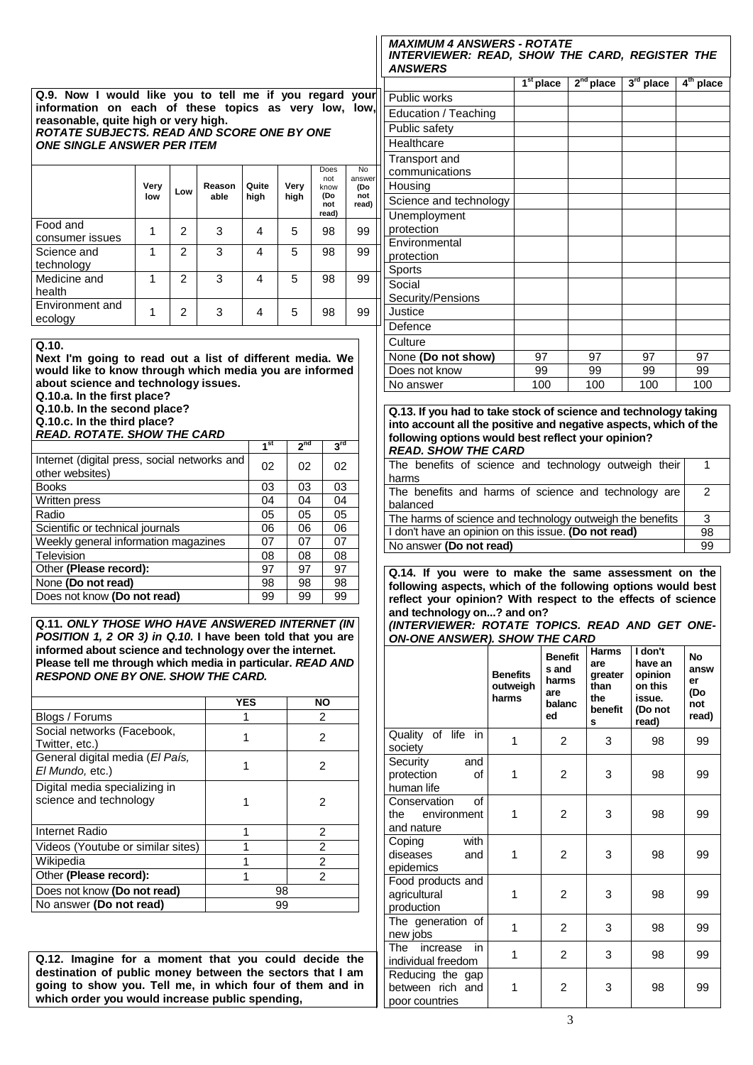**Q.9. Now I would like you to tell me if you regard your information on each of these topics as very low, low, reasonable, quite high or very high.**

*ROTATE SUBJECTS. READ AND SCORE ONE BY ONE ONE SINGLE ANSWER PER ITEM* 

| Does<br><b>No</b><br>not<br>answer<br>Very<br>Quite<br>Very<br>Reason<br>(Do<br>know<br>Low<br>(Do<br>high<br>not<br>able<br>high<br>low<br>read)<br>not<br>read)<br>Food and<br>2<br>3<br>5<br>98<br>99<br>4<br>consumer issues<br>3<br>2<br>5<br>99<br>4<br>98<br>Science and<br>technology<br>Medicine and<br>3<br>2<br>5<br>98<br>99<br>4<br>health<br>Environment and<br>3<br>$\overline{c}$<br>5<br>98<br>99<br>4<br>ecology |  |  |  |  |  |
|------------------------------------------------------------------------------------------------------------------------------------------------------------------------------------------------------------------------------------------------------------------------------------------------------------------------------------------------------------------------------------------------------------------------------------|--|--|--|--|--|
|                                                                                                                                                                                                                                                                                                                                                                                                                                    |  |  |  |  |  |
|                                                                                                                                                                                                                                                                                                                                                                                                                                    |  |  |  |  |  |
|                                                                                                                                                                                                                                                                                                                                                                                                                                    |  |  |  |  |  |
|                                                                                                                                                                                                                                                                                                                                                                                                                                    |  |  |  |  |  |
|                                                                                                                                                                                                                                                                                                                                                                                                                                    |  |  |  |  |  |

**Q.10.** 

**Next I'm going to read out a list of different media. We would like to know through which media you are informed about science and technology issues.**

**Q.10.a. In the first place?**

**Q.10.b. In the second place?**

**Q.10.c. In the third place?** *READ. ROTATE. SHOW THE CARD*

|                                                                 | 1 <sup>st</sup> | $2^{nd}$ | $3^{\text{rd}}$ |
|-----------------------------------------------------------------|-----------------|----------|-----------------|
| Internet (digital press, social networks and<br>other websites) | 02              | 02       | 02              |
| <b>Books</b>                                                    | 03              | 03       | 03              |
| Written press                                                   | 04              | 04       | 04              |
| Radio                                                           | 05              | 05       | 05              |
| Scientific or technical journals                                | 06              | 06       | 06              |
| Weekly general information magazines                            | 07              | 07       | 07              |
| Television                                                      | 08              | 08       | 08              |
| Other (Please record):                                          | 97              | 97       | 97              |
| None (Do not read)                                              | 98              | 98       | 98              |
| Does not know (Do not read)                                     | 99              | 99       | 99              |

**Q.11.** *ONLY THOSE WHO HAVE ANSWERED INTERNET (IN POSITION 1, 2 OR 3) in Q.10***. I have been told that you are informed about science and technology over the internet. Please tell me through which media in particular.** *READ AND RESPOND ONE BY ONE. SHOW THE CARD.*

|                                                         | <b>YES</b> | NΟ             |
|---------------------------------------------------------|------------|----------------|
| Blogs / Forums                                          |            | 2              |
| Social networks (Facebook,<br>Twitter, etc.)            |            | 2              |
| General digital media (El País,<br>El Mundo, etc.)      |            | 2              |
| Digital media specializing in<br>science and technology |            | 2              |
| Internet Radio                                          |            | 2              |
| Videos (Youtube or similar sites)                       |            | $\overline{2}$ |
| Wikipedia                                               |            | $\mathfrak{p}$ |
| Other (Please record):                                  |            | 2              |
| Does not know (Do not read)                             | 98         |                |
| No answer (Do not read)                                 | 99         |                |

**Q.12. Imagine for a moment that you could decide the destination of public money between the sectors that I am going to show you. Tell me, in which four of them and in which order you would increase public spending,**

*MAXIMUM 4 ANSWERS - ROTATE INTERVIEWER: READ, SHOW THE CARD, REGISTER THE ANSWERS*

|                                 | $1st$ place | $2nd$ place | $3rd$ place | $4th$ place |
|---------------------------------|-------------|-------------|-------------|-------------|
| Public works                    |             |             |             |             |
| Education / Teaching            |             |             |             |             |
| Public safety                   |             |             |             |             |
| Healthcare                      |             |             |             |             |
| Transport and<br>communications |             |             |             |             |
| Housing                         |             |             |             |             |
| Science and technology          |             |             |             |             |
| Unemployment<br>protection      |             |             |             |             |
| Environmental<br>protection     |             |             |             |             |
| Sports                          |             |             |             |             |
| Social<br>Security/Pensions     |             |             |             |             |
| Justice                         |             |             |             |             |
| Defence                         |             |             |             |             |
| Culture                         |             |             |             |             |
| None (Do not show)              | 97          | 97          | 97          | 97          |
| Does not know                   | 99          | 99          | 99          | 99          |
| No answer                       | 100         | 100         | 100         | 100         |

**Q.13. If you had to take stock of science and technology taking into account all the positive and negative aspects, which of the following options would best reflect your opinion?** *READ. SHOW THE CARD*

| The benefits of science and technology outweigh their     |    |
|-----------------------------------------------------------|----|
| harms                                                     |    |
| The benefits and harms of science and technology are      | 2  |
| balanced                                                  |    |
| The harms of science and technology outweigh the benefits | 3  |
| I don't have an opinion on this issue. (Do not read)      | 98 |
| No answer (Do not read)                                   | 99 |
|                                                           |    |

**Q.14. If you were to make the same assessment on the following aspects, which of the following options would best reflect your opinion? With respect to the effects of science and technology on...? and on?**

*(INTERVIEWER: ROTATE TOPICS. READ AND GET ONE-ON-ONE ANSWER). SHOW THE CARD*

|                                                        | <b>Benefits</b><br>outweigh<br>harms | <b>Benefit</b><br>s and<br>harms<br>are<br>balanc<br>ed | <b>Harms</b><br>are<br>greater<br>than<br>the<br>benefit<br>s | I don't<br>have an<br>opinion<br>on this<br>issue.<br>(Do not<br>read) | <b>No</b><br>answ<br>er<br>(Do<br>not<br>read) |
|--------------------------------------------------------|--------------------------------------|---------------------------------------------------------|---------------------------------------------------------------|------------------------------------------------------------------------|------------------------------------------------|
| Quality of life in<br>society                          | 1                                    | $\overline{2}$                                          | 3                                                             | 98                                                                     | 99                                             |
| Security<br>and<br>protection<br>οf<br>human life      | 1                                    | $\overline{2}$                                          | 3                                                             | 98                                                                     | 99                                             |
| of<br>Conservation<br>the environment<br>and nature    | 1                                    | $\overline{2}$                                          | 3                                                             | 98                                                                     | 99                                             |
| Coping<br>with<br>diseases<br>and<br>epidemics         | 1                                    | $\overline{2}$                                          | 3                                                             | 98                                                                     | 99                                             |
| Food products and<br>agricultural<br>production        | 1                                    | $\overline{2}$                                          | 3                                                             | 98                                                                     | 99                                             |
| The generation of<br>new jobs                          | 1                                    | $\overline{2}$                                          | 3                                                             | 98                                                                     | 99                                             |
| The<br>increase<br>in<br>individual freedom            | 1                                    | $\overline{2}$                                          | 3                                                             | 98                                                                     | 99                                             |
| Reducing the gap<br>between rich and<br>poor countries | 1                                    | $\overline{2}$                                          | 3                                                             | 98                                                                     | 99                                             |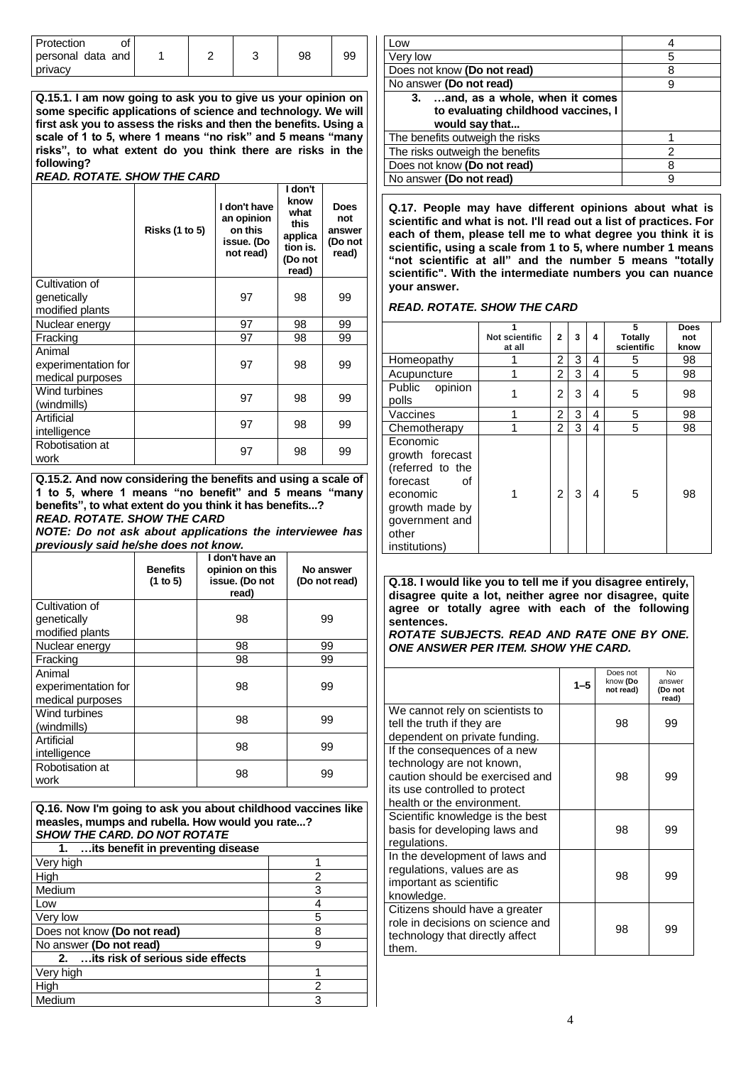| Protection        |  |    |    |
|-------------------|--|----|----|
| personal data and |  | 98 | 99 |
| <b>privacy</b>    |  |    |    |

**Q.15.1. I am now going to ask you to give us your opinion on some specific applications of science and technology. We will first ask you to assess the risks and then the benefits. Using a scale of 1 to 5, where 1 means "no risk" and 5 means "many risks", to what extent do you think there are risks in the following?**  *READ. ROTATE. SHOW THE CARD*

|                                                   | <b>Risks (1 to 5)</b> | I don't<br>know<br>I don't have<br>what<br>an opinion<br>this<br>on this<br>applica<br>issue. (Do<br>tion is.<br>not read)<br>(Do not<br>read) |    | <b>Does</b><br>not<br>answer<br>(Do not<br>read) |  |  |  |  |
|---------------------------------------------------|-----------------------|------------------------------------------------------------------------------------------------------------------------------------------------|----|--------------------------------------------------|--|--|--|--|
| Cultivation of<br>genetically<br>modified plants  |                       | 97                                                                                                                                             | 98 | 99                                               |  |  |  |  |
| Nuclear energy                                    |                       | 97                                                                                                                                             | 98 | 99                                               |  |  |  |  |
| Fracking                                          |                       | 97                                                                                                                                             | 98 | 99                                               |  |  |  |  |
| Animal<br>experimentation for<br>medical purposes |                       | 97                                                                                                                                             | 98 | 99                                               |  |  |  |  |
| Wind turbines<br>(windmills)                      |                       | 97                                                                                                                                             | 98 | 99                                               |  |  |  |  |
| Artificial<br>intelligence                        |                       | 97                                                                                                                                             | 98 | 99                                               |  |  |  |  |
| Robotisation at<br>work                           |                       | 97                                                                                                                                             | 98 | 99                                               |  |  |  |  |

**Q.15.2. And now considering the benefits and using a scale of 1 to 5, where 1 means "no benefit" and 5 means "many benefits", to what extent do you think it has benefits...?** *READ. ROTATE. SHOW THE CARD*

*NOTE: Do not ask about applications the interviewee has previously said he/she does not know.*

|                     | <b>Benefits</b><br>(1 to 5) | I don't have an<br>opinion on this<br>issue. (Do not<br>read) | No answer<br>(Do not read) |
|---------------------|-----------------------------|---------------------------------------------------------------|----------------------------|
| Cultivation of      |                             |                                                               |                            |
| genetically         |                             | 98                                                            | 99                         |
| modified plants     |                             |                                                               |                            |
| Nuclear energy      |                             | 98                                                            | 99                         |
| Fracking            |                             | 98                                                            | 99                         |
| Animal              |                             |                                                               |                            |
| experimentation for |                             | 98                                                            | 99                         |
| medical purposes    |                             |                                                               |                            |
| Wind turbines       |                             | 98                                                            | 99                         |
| (windmills)         |                             |                                                               |                            |
| Artificial          |                             | 98                                                            | 99                         |
| intelligence        |                             |                                                               |                            |
| Robotisation at     |                             | 98                                                            | 99                         |
| work                |                             |                                                               |                            |

**Q.16. Now I'm going to ask you about childhood vaccines like measles, mumps and rubella. How would you rate...?** *SHOW THE CARD. DO NOT ROTATE*

| its benefit in preventing disease    |   |  |  |  |  |
|--------------------------------------|---|--|--|--|--|
| Very high                            |   |  |  |  |  |
| High                                 | 2 |  |  |  |  |
| Medium                               | 3 |  |  |  |  |
| Low                                  |   |  |  |  |  |
| Very low                             | 5 |  |  |  |  |
| Does not know (Do not read)          |   |  |  |  |  |
| No answer (Do not read)              |   |  |  |  |  |
| 2.  its risk of serious side effects |   |  |  |  |  |
| Very high                            |   |  |  |  |  |
| High                                 | 2 |  |  |  |  |
| Medium                               | 3 |  |  |  |  |

| .ow                                                                       |   |
|---------------------------------------------------------------------------|---|
| Very low                                                                  | 5 |
| Does not know (Do not read)                                               | ጸ |
| No answer (Do not read)                                                   | q |
| 3.  and, as a whole, when it comes<br>to evaluating childhood vaccines, I |   |
| would say that                                                            |   |
|                                                                           |   |
| The benefits outweigh the risks                                           |   |
| The risks outweigh the benefits                                           | 2 |
| Does not know (Do not read)                                               | я |
| No answer (Do not read)                                                   |   |
|                                                                           |   |

**Q.17. People may have different opinions about what is scientific and what is not. I'll read out a list of practices. For each of them, please tell me to what degree you think it is scientific, using a scale from 1 to 5, where number 1 means "not scientific at all" and the number 5 means "totally scientific". With the intermediate numbers you can nuance your answer.**

### *READ. ROTATE. SHOW THE CARD*

|                                                                                                                                             | Not scientific<br>at all | $\overline{2}$ | 3 | 4 | 5<br><b>Totally</b><br>scientific | <b>Does</b><br>not<br>know |
|---------------------------------------------------------------------------------------------------------------------------------------------|--------------------------|----------------|---|---|-----------------------------------|----------------------------|
| Homeopathy                                                                                                                                  |                          | 2              | 3 | 4 | 5                                 | 98                         |
| Acupuncture                                                                                                                                 | 1                        | $\overline{2}$ | 3 | 4 | 5                                 | 98                         |
| Public opinion<br>polls                                                                                                                     |                          | 2              | 3 | 4 | 5                                 | 98                         |
| Vaccines                                                                                                                                    |                          | 2              | 3 | 4 | 5                                 | 98                         |
| Chemotherapy                                                                                                                                |                          | $\overline{2}$ | 3 | 4 | 5                                 | 98                         |
| Economic<br>growth forecast<br>(referred to the<br>forecast<br>οf<br>economic<br>growth made by<br>government and<br>other<br>institutions) |                          | 2              | 3 | 4 | 5                                 | 98                         |

**Q.18. I would like you to tell me if you disagree entirely, disagree quite a lot, neither agree nor disagree, quite agree or totally agree with each of the following sentences.**

*ROTATE SUBJECTS. READ AND RATE ONE BY ONE. ONE ANSWER PER ITEM. SHOW YHE CARD.*

|                                                                                                                                                             | $1 - 5$ | Does not<br>know (Do<br>not read) | N <sub>0</sub><br>answer<br>(Do not<br>read) |
|-------------------------------------------------------------------------------------------------------------------------------------------------------------|---------|-----------------------------------|----------------------------------------------|
| We cannot rely on scientists to<br>tell the truth if they are<br>dependent on private funding.                                                              |         | 98                                | 99                                           |
| If the consequences of a new<br>technology are not known,<br>caution should be exercised and<br>its use controlled to protect<br>health or the environment. |         | 98                                | 99                                           |
| Scientific knowledge is the best<br>basis for developing laws and<br>regulations.                                                                           |         | 98                                | 99                                           |
| In the development of laws and<br>regulations, values are as<br>important as scientific<br>knowledge.                                                       |         | 98                                | 99                                           |
| Citizens should have a greater<br>role in decisions on science and<br>technology that directly affect<br>them.                                              |         | 98                                | 99                                           |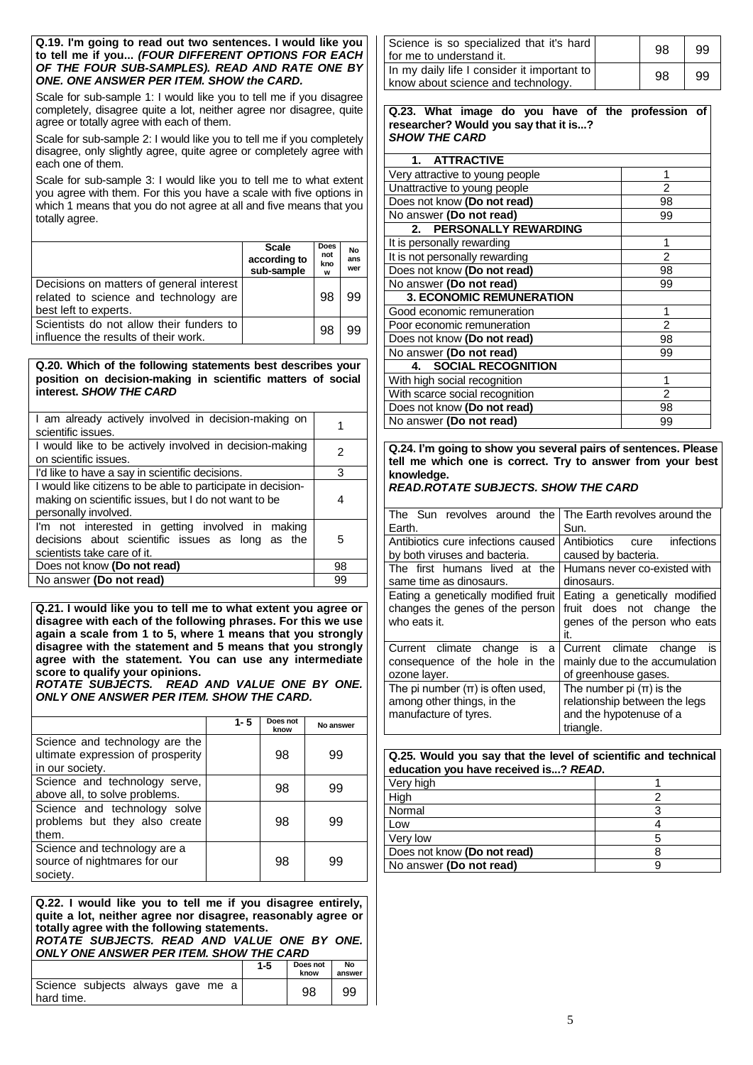#### **Q.19. I'm going to read out two sentences. I would like you to tell me if you...** *(FOUR DIFFERENT OPTIONS FOR EACH OF THE FOUR SUB-SAMPLES). READ AND RATE ONE BY ONE. ONE ANSWER PER ITEM. SHOW the CARD.*

Scale for sub-sample 1: I would like you to tell me if you disagree completely, disagree quite a lot, neither agree nor disagree, quite agree or totally agree with each of them.

Scale for sub-sample 2: I would like you to tell me if you completely disagree, only slightly agree, quite agree or completely agree with each one of them.

Scale for sub-sample 3: I would like you to tell me to what extent you agree with them. For this you have a scale with five options in which 1 means that you do not agree at all and five means that you totally agree.

|                                                                                                            | <b>Scale</b><br>according to<br>sub-sample | <b>Does</b><br>not<br>kno<br>W | No<br>ans<br>wer |
|------------------------------------------------------------------------------------------------------------|--------------------------------------------|--------------------------------|------------------|
| Decisions on matters of general interest<br>related to science and technology are<br>best left to experts. |                                            | 98                             | 99               |
| Scientists do not allow their funders to<br>I influence the results of their work.                         |                                            | 98                             | 99               |

#### **Q.20. Which of the following statements best describes your position on decision-making in scientific matters of social interest.** *SHOW THE CARD*

| I am already actively involved in decision-making on<br>scientific issues.                                                                   |    |
|----------------------------------------------------------------------------------------------------------------------------------------------|----|
| I would like to be actively involved in decision-making<br>on scientific issues.                                                             | 2  |
| I'd like to have a say in scientific decisions.                                                                                              | 3  |
| I would like citizens to be able to participate in decision-<br>making on scientific issues, but I do not want to be<br>personally involved. |    |
| I'm not interested in getting involved in making<br>decisions about scientific issues as long as the<br>scientists take care of it.          | 5  |
| Does not know (Do not read)                                                                                                                  | 98 |
| No answer (Do not read)                                                                                                                      | 99 |
|                                                                                                                                              |    |

**Q.21. I would like you to tell me to what extent you agree or disagree with each of the following phrases. For this we use again a scale from 1 to 5, where 1 means that you strongly disagree with the statement and 5 means that you strongly agree with the statement. You can use any intermediate score to qualify your opinions.**

*ROTATE SUBJECTS. READ AND VALUE ONE BY ONE. ONLY ONE ANSWER PER ITEM. SHOW THE CARD.*

|                                                                                        | $1 - 5$ | Does not<br>know | No answer |
|----------------------------------------------------------------------------------------|---------|------------------|-----------|
| Science and technology are the<br>ultimate expression of prosperity<br>in our society. |         | 98               | 99        |
| Science and technology serve,<br>above all, to solve problems.                         |         | 98               | 99        |
| Science and technology solve<br>problems but they also create<br>them.                 |         | 98               | 99        |
| Science and technology are a<br>source of nightmares for our<br>society.               |         | 98               | 99        |

**Q.22. I would like you to tell me if you disagree entirely, quite a lot, neither agree nor disagree, reasonably agree or totally agree with the following statements.** *ROTATE SUBJECTS. READ AND VALUE ONE BY ONE.* 

*ONLY ONE ANSWER PER ITEM. SHOW THE CARD* **1-5 Does not No** 

|                                                 | נ-ו | ------<br>know | <br>answer |
|-------------------------------------------------|-----|----------------|------------|
| Science subjects always gave me a<br>hard time. |     | 98             | 99         |

| Science is so specialized that it's hard<br>for me to understand it.              | 98 | 99 |
|-----------------------------------------------------------------------------------|----|----|
| In my daily life I consider it important to<br>know about science and technology. | 98 | 99 |

**Q.23. What image do you have of the profession of researcher? Would you say that it is...?** *SHOW THE CARD*

| 1. ATTRACTIVE                   |    |
|---------------------------------|----|
| Very attractive to young people | 1  |
| Unattractive to young people    | 2  |
| Does not know (Do not read)     | 98 |
| No answer (Do not read)         | 99 |
| 2. PERSONALLY REWARDING         |    |
| It is personally rewarding      | 1  |
| It is not personally rewarding  | 2  |
| Does not know (Do not read)     | 98 |
| No answer (Do not read)         | 99 |
| <b>3. ECONOMIC REMUNERATION</b> |    |
| Good economic remuneration      | 1  |
| Poor economic remuneration      | 2  |
| Does not know (Do not read)     | 98 |
| No answer (Do not read)         | 99 |
| 4. SOCIAL RECOGNITION           |    |
| With high social recognition    | 1  |
| With scarce social recognition  | 2  |
| Does not know (Do not read)     | 98 |
| No answer (Do not read)         | 99 |

**Q.24. I'm going to show you several pairs of sentences. Please tell me which one is correct. Try to answer from your best knowledge.**

*READ.ROTATE SUBJECTS. SHOW THE CARD*

| The Sun revolves around the          | The Earth revolves around the  |
|--------------------------------------|--------------------------------|
| Earth.                               | Sun.                           |
| Antibiotics cure infections caused   | Antibiotics cure<br>infections |
| by both viruses and bacteria.        | caused by bacteria.            |
| The first humans lived at the        | Humans never co-existed with   |
| same time as dinosaurs.              | dinosaurs.                     |
| Eating a genetically modified fruit  | Eating a genetically modified  |
| changes the genes of the person      | fruit does not change<br>the   |
| who eats it.                         | genes of the person who eats   |
|                                      | it.                            |
| Current climate change<br>is<br>a    | Current climate change<br>is   |
| consequence of the hole in the       | mainly due to the accumulation |
| ozone layer.                         | of greenhouse gases.           |
| The pi number $(\pi)$ is often used, | The number pi $(\pi)$ is the   |
| among other things, in the           | relationship between the legs  |
| manufacture of tyres.                | and the hypotenuse of a        |
|                                      | triangle.                      |

| Q.25. Would you say that the level of scientific and technical<br>education you have received is? READ. |   |  |
|---------------------------------------------------------------------------------------------------------|---|--|
| Very high                                                                                               |   |  |
| High                                                                                                    |   |  |
| Normal                                                                                                  |   |  |
| Low                                                                                                     |   |  |
| Very low                                                                                                | 5 |  |
| Does not know (Do not read)                                                                             | я |  |
| No answer (Do not read)                                                                                 |   |  |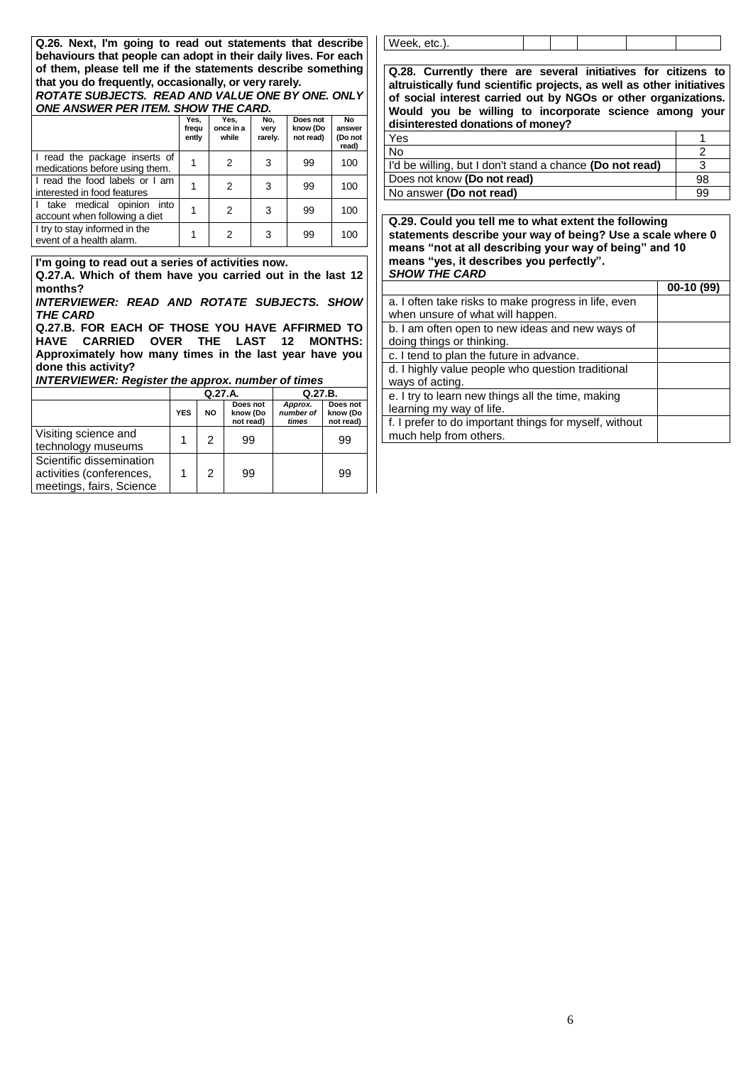**Q.26. Next, I'm going to read out statements that describe behaviours that people can adopt in their daily lives. For each of them, please tell me if the statements describe something that you do frequently, occasionally, or very rarely.**

#### *ROTATE SUBJECTS. READ AND VALUE ONE BY ONE. ONLY ONE ANSWER PER ITEM. SHOW THE CARD.*

|                                                                 | Yes,<br>frequ<br>ently | Yes,<br>once in a<br>while | No,<br>very<br>rarely. | Does not<br>know (Do<br>not read) | <b>No</b><br>answer<br>(Do not<br>read) |
|-----------------------------------------------------------------|------------------------|----------------------------|------------------------|-----------------------------------|-----------------------------------------|
| I read the package inserts of<br>medications before using them. | 1                      | 2                          | 3                      | 99                                | 100                                     |
| I read the food labels or I am<br>interested in food features   |                        | 2                          | 3                      | 99                                | 100                                     |
| I take medical opinion into<br>account when following a diet    |                        | 2                          | 3                      | 99                                | 100                                     |
| I try to stay informed in the<br>event of a health alarm.       | 1                      | 2                          | 3                      | 99                                | 100                                     |

**I'm going to read out a series of activities now.** 

**Q.27.A. Which of them have you carried out in the last 12 months?**

*INTERVIEWER: READ AND ROTATE SUBJECTS. SHOW THE CARD*

**Q.27.B. FOR EACH OF THOSE YOU HAVE AFFIRMED TO HAVE CARRIED OVER THE LAST 12 MONTHS: Approximately how many times in the last year have you done this activity?**

*INTERVIEWER: Register the approx. number of times*

|                                                                                  | Q.27.A.    |           |                                   | Q.27.B.                       |                                   |
|----------------------------------------------------------------------------------|------------|-----------|-----------------------------------|-------------------------------|-----------------------------------|
|                                                                                  | <b>YES</b> | <b>NO</b> | Does not<br>know (Do<br>not read) | Approx.<br>number of<br>times | Does not<br>know (Do<br>not read) |
| Visiting science and<br>technology museums                                       |            | 2         | 99                                |                               | 99                                |
| Scientific dissemination<br>activities (conferences,<br>meetings, fairs, Science |            | 2         | 99                                |                               | 99                                |

Week, etc.).

**Q.28. Currently there are several initiatives for citizens to altruistically fund scientific projects, as well as other initiatives of social interest carried out by NGOs or other organizations. Would you be willing to incorporate science among your disinterested donations of money?**

| Yes                                                      |    |
|----------------------------------------------------------|----|
| <b>No</b>                                                |    |
| I'd be willing, but I don't stand a chance (Do not read) |    |
| Does not know (Do not read)                              | 98 |
| No answer (Do not read)                                  | 99 |

**Q.29. Could you tell me to what extent the following statements describe your way of being? Use a scale where 0 means "not at all describing your way of being" and 10 means "yes, it describes you perfectly".** *SHOW THE CARD*

|                                                        | $00-10(99)$ |
|--------------------------------------------------------|-------------|
| a. I often take risks to make progress in life, even   |             |
| when unsure of what will happen.                       |             |
| b. I am often open to new ideas and new ways of        |             |
| doing things or thinking.                              |             |
| c. I tend to plan the future in advance.               |             |
| d. I highly value people who question traditional      |             |
| ways of acting.                                        |             |
| e. I try to learn new things all the time, making      |             |
| learning my way of life.                               |             |
| f. I prefer to do important things for myself, without |             |
| much help from others.                                 |             |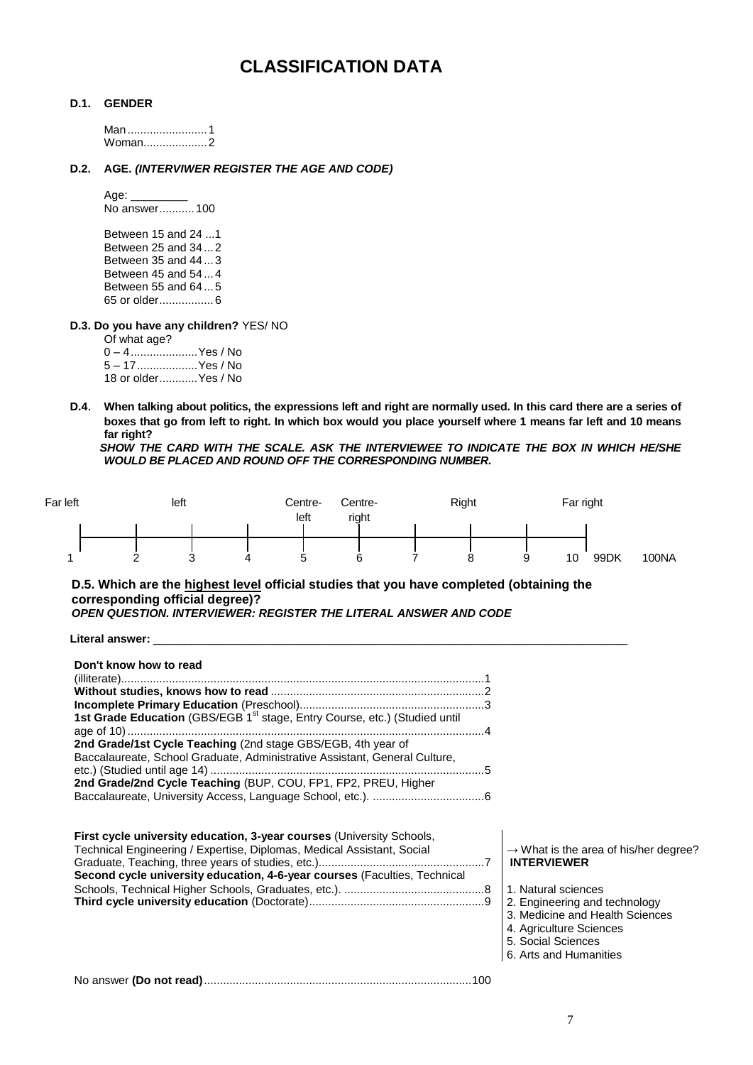# **CLASSIFICATION DATA**

#### **D.1. GENDER**

Man.........................1 Woman....................2

### **D.2. AGE.** *(INTERVIWER REGISTER THE AGE AND CODE)*

Age: No answer........... 100

Between 15 and 24 ...1 Between 25 and 34 ... 2 Between 35 and 44 ... 3 Between 45 and 54 ... 4 Between 55 and 64 ... 5 65 or older................. 6

**D.3. Do you have any children?** YES/ NO

Of what age? – 4.....................Yes / No – 17...................Yes / No or older............Yes / No

**D.4**. **When talking about politics, the expressions left and right are normally used. In this card there are a series of boxes that go from left to right. In which box would you place yourself where 1 means far left and 10 means far right?**

*SHOW THE CARD WITH THE SCALE. ASK THE INTERVIEWEE TO INDICATE THE BOX IN WHICH HE/SHE WOULD BE PLACED AND ROUND OFF THE CORRESPONDING NUMBER.*



**D.5. Which are the highest level official studies that you have completed (obtaining the corresponding official degree)?**

*OPEN QUESTION. INTERVIEWER: REGISTER THE LITERAL ANSWER AND CODE*

Literal answer:

| Don't know how to read<br>1st Grade Education (GBS/EGB 1 <sup>st</sup> stage, Entry Course, etc.) (Studied until                                                                                                                    |                                                                                                                                                                                                                                               |
|-------------------------------------------------------------------------------------------------------------------------------------------------------------------------------------------------------------------------------------|-----------------------------------------------------------------------------------------------------------------------------------------------------------------------------------------------------------------------------------------------|
| 2nd Grade/1st Cycle Teaching (2nd stage GBS/EGB, 4th year of<br>Baccalaureate, School Graduate, Administrative Assistant, General Culture,<br>2nd Grade/2nd Cycle Teaching (BUP, COU, FP1, FP2, PREU, Higher                        |                                                                                                                                                                                                                                               |
| <b>First cycle university education, 3-year courses (University Schools,</b><br>Technical Engineering / Expertise, Diplomas, Medical Assistant, Social<br>Second cycle university education, 4-6-year courses (Faculties, Technical | $\rightarrow$ What is the area of his/her degree?<br><b>INTERVIEWER</b><br>1. Natural sciences<br>2. Engineering and technology<br>3. Medicine and Health Sciences<br>4. Agriculture Sciences<br>5. Social Sciences<br>6. Arts and Humanities |
|                                                                                                                                                                                                                                     |                                                                                                                                                                                                                                               |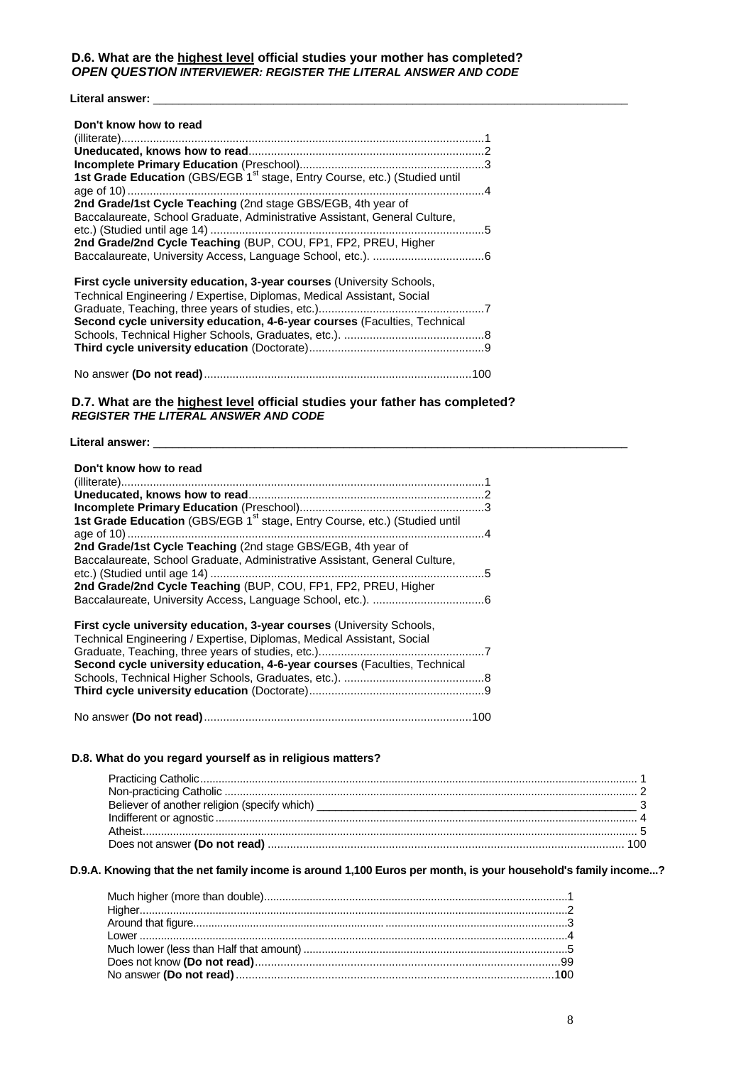#### **Literal answer:** \_\_\_\_\_\_\_\_\_\_\_\_\_\_\_\_\_\_\_\_\_\_\_\_\_\_\_\_\_\_\_\_\_\_\_\_\_\_\_\_\_\_\_\_\_\_\_\_\_\_\_\_\_\_\_\_\_\_\_\_\_\_\_\_\_\_\_\_\_\_\_\_\_\_\_

| Don't know how to read                                                                 |  |
|----------------------------------------------------------------------------------------|--|
|                                                                                        |  |
|                                                                                        |  |
| 1st Grade Education (GBS/EGB 1 <sup>st</sup> stage, Entry Course, etc.) (Studied until |  |
|                                                                                        |  |
| 2nd Grade/1st Cycle Teaching (2nd stage GBS/EGB, 4th year of                           |  |
| Baccalaureate, School Graduate, Administrative Assistant, General Culture,             |  |
|                                                                                        |  |
| 2nd Grade/2nd Cycle Teaching (BUP, COU, FP1, FP2, PREU, Higher                         |  |
|                                                                                        |  |
| First cycle university education, 3-year courses (University Schools,                  |  |
| Technical Engineering / Expertise, Diplomas, Medical Assistant, Social                 |  |
|                                                                                        |  |
| Second cycle university education, 4-6-year courses (Faculties, Technical              |  |
|                                                                                        |  |
|                                                                                        |  |
|                                                                                        |  |
|                                                                                        |  |

#### **D.7. What are the highest level official studies your father has completed?** *REGISTER THE LITERAL ANSWER AND CODE*

Literal answer: \_\_\_\_\_

# **D.8. What do you regard yourself as in religious matters?**

### **D.9.A. Knowing that the net family income is around 1,100 Euros per month, is your household's family income...?**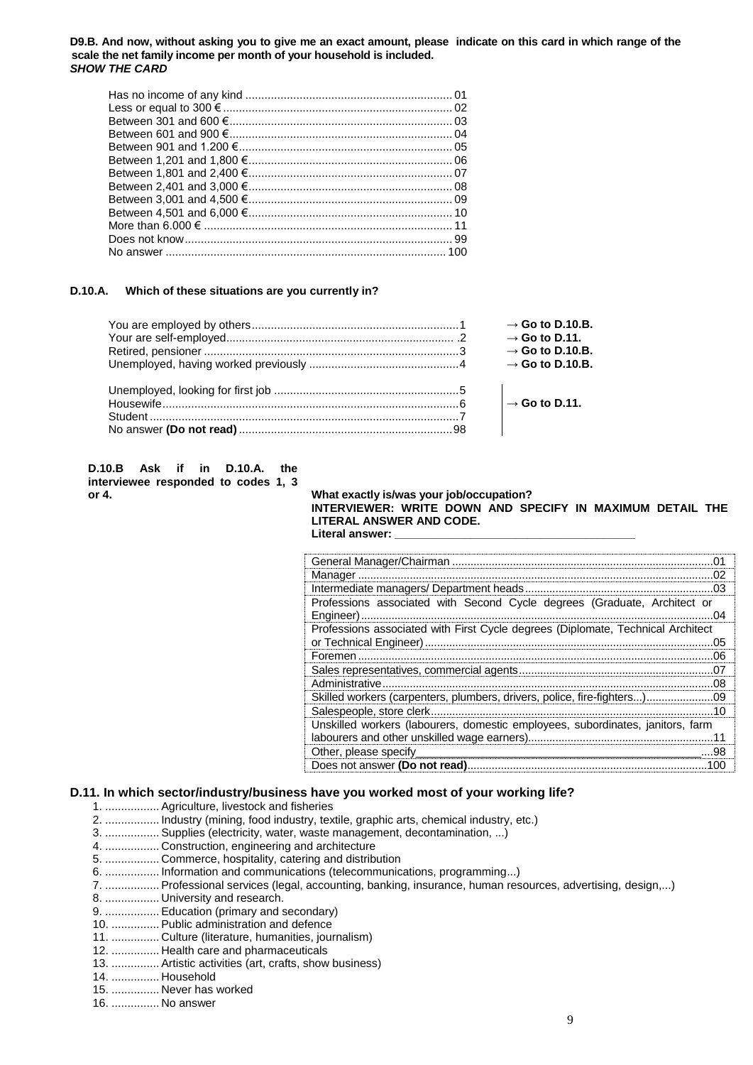#### **D9.B. And now, without asking you to give me an exact amount, please indicate on this card in which range of the scale the net family income per month of your household is included.** *SHOW THE CARD*

| Between 2.401 and 3.000 €. |  |
|----------------------------|--|
|                            |  |
|                            |  |
|                            |  |
|                            |  |
|                            |  |

#### **D.10.A. Which of these situations are you currently in?**

| $\rightarrow$ Go to D.10.B.       |
|-----------------------------------|
| $\rightarrow$ Go to D.11.         |
| $\rightarrow$ Go to D.10.B.       |
| $\rightarrow$ Go to D.10.B.       |
|                                   |
|                                   |
| $\vert$ $\rightarrow$ Go to D.11. |
|                                   |
|                                   |

| D.10.B Ask if in D.10.A. the        |  |  |  |  |
|-------------------------------------|--|--|--|--|
| interviewee responded to codes 1, 3 |  |  |  |  |
| or 4.                               |  |  |  |  |

#### **or 4. What exactly is/was your job/occupation? INTERVIEWER: WRITE DOWN AND SPECIFY IN MAXIMUM DETAIL THE LITERAL ANSWER AND CODE.** Literal answer:

| General Manager/Chairman                                                        |     |
|---------------------------------------------------------------------------------|-----|
|                                                                                 |     |
| Intermediate managers/Department heads                                          |     |
| Professions associated with Second Cycle degrees (Graduate, Architect or        |     |
| Engineer).                                                                      |     |
| Professions associated with First Cycle degrees (Diplomate, Technical Architect |     |
| or Technical Engineer)                                                          | 05  |
| Foremen                                                                         | 06  |
| Sales representatives, commercial agents                                        |     |
| Administrative                                                                  | nя  |
| Skilled workers (carpenters, plumbers, drivers, police, fire-fighters)          | .09 |
| Salespeople, store clerk.                                                       |     |
| Unskilled workers (labourers, domestic employees, subordinates, janitors, farm  |     |
| labourers and other unskilled wage earners)                                     |     |
| Other, please specify                                                           | .98 |
| Does not answer (Do not read)                                                   |     |

# **D.11. In which sector/industry/business have you worked most of your working life?**

- 1. ................. Agriculture, livestock and fisheries
- 2. ................. Industry (mining, food industry, textile, graphic arts, chemical industry, etc.)
- 3. ................. Supplies (electricity, water, waste management, decontamination, ...)
- 4. ................. Construction, engineering and architecture
- 5. ................. Commerce, hospitality, catering and distribution
- 6. ................. Information and communications (telecommunications, programming...)
- 7. ................. Professional services (legal, accounting, banking, insurance, human resources, advertising, design,...)
- 8. ................. University and research.
- 9. ................. Education (primary and secondary)
- 10. ............... Public administration and defence
- 11. ............... Culture (literature, humanities, journalism)
- 12. ............... Health care and pharmaceuticals
- 13. ............... Artistic activities (art, crafts, show business)
- 14. ............... Household
- 15. ............... Never has worked
- 16. ............... No answer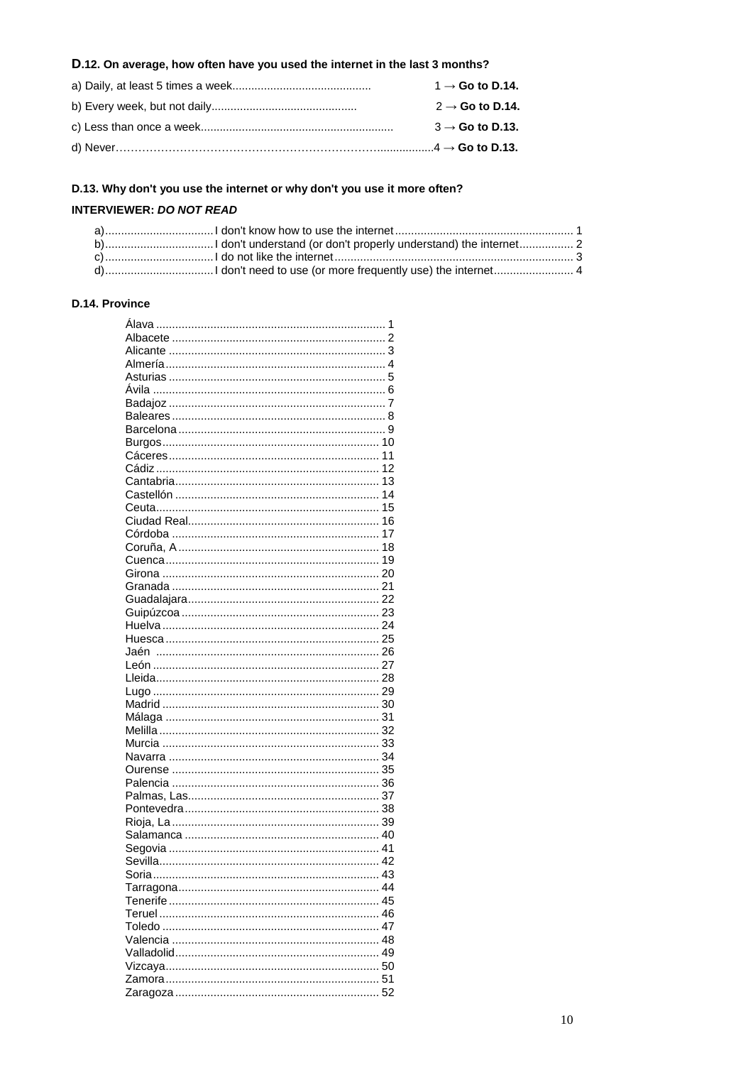# D.12. On average, how often have you used the internet in the last 3 months?

| $1 \rightarrow$ Go to D.14. |
|-----------------------------|
| $2 \rightarrow$ Go to D.14. |
| $3 \rightarrow$ Go to D.13. |
|                             |

# D.13. Why don't you use the internet or why don't you use it more often?

### **INTERVIEWER: DO NOT READ**

# D.14. Province